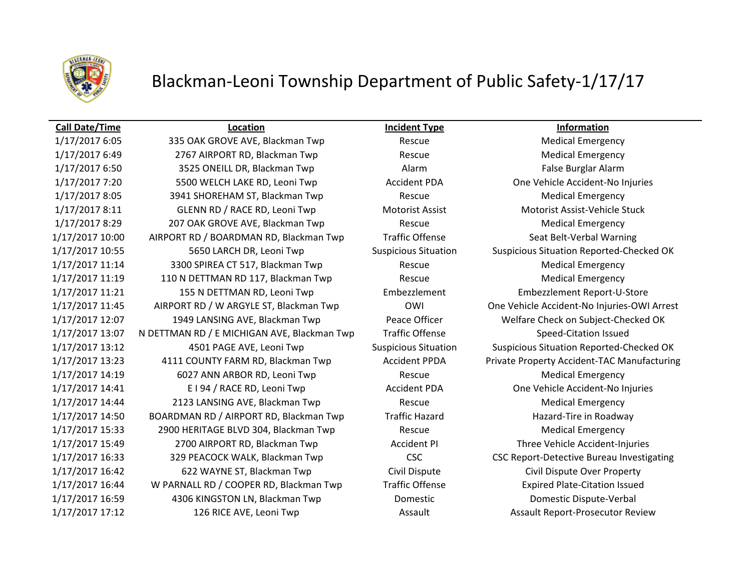

## Blackman-Leoni Township Department of Public Safety-1/17/17

### **Call Date/Time Location Incident Type Information**

1/17/2017 6:05 335 OAK GROVE AVE, Blackman Twp Rescue Rescue Medical Emergency 1/17/2017 6:49 2767 AIRPORT RD, Blackman Twp Rescue Medical Emergency 1/17/2017 6:50 3525 ONEILL DR, Blackman Twp **Alarm** Alarm False Burglar Alarm 1/17/2017 7:20 5500 WELCH LAKE RD, Leoni Twp Accident PDA One Vehicle Accident-No Injuries 1/17/2017 8:05 3941 SHOREHAM ST, Blackman Twp Rescue Medical Emergency 1/17/2017 8:11 GLENN RD / RACE RD, Leoni Twp Motorist Assist Motorist Assist-Vehicle Stuck 1/17/2017 8:29 207 OAK GROVE AVE, Blackman Twp Rescue Rescue Medical Emergency 1/17/2017 10:00 AIRPORT RD / BOARDMAN RD, Blackman Twp Traffic Offense Seat Belt-Verbal Warning 1/17/2017 10:55 5650 LARCH DR, Leoni Twp Suspicious Situation Suspicious Situation Reported-Checked OK 1/17/2017 11:14 3300 SPIREA CT 517, Blackman Twp Rescue Rescue Medical Emergency 1/17/2017 11:19 110 N DETTMAN RD 117, Blackman Twp Rescue Rescue Medical Emergency 1/17/2017 11:21 155 N DETTMAN RD, Leoni Twp Embezzlement Embezzlement Report-U-Store 1/17/2017 11:45 AIRPORT RD / W ARGYLE ST, Blackman Twp OWI One Vehicle Accident-No Injuries-OWI Arrest 1/17/2017 12:07 1949 LANSING AVE, Blackman Twp Peace Officer Welfare Check on Subject-Checked OK 1/17/2017 13:07 N DETTMAN RD / E MICHIGAN AVE, Blackman Twp Traffic Offense Speed-Citation Issued 1/17/2017 13:12 4501 PAGE AVE, Leoni Twp Suspicious Situation Suspicious Situation Reported-Checked OK 1/17/2017 13:23 4111 COUNTY FARM RD, Blackman Twp Accident PPDA Private Property Accident-TAC Manufacturing 1/17/2017 14:19 6027 ANN ARBOR RD, Leoni Twp Rescue Rescue Medical Emergency 1/17/2017 14:41 E I 94 / RACE RD, Leoni Twp Accident PDA One Vehicle Accident-No Injuries 1/17/2017 14:44 2123 LANSING AVE, Blackman Twp Rescue Rescue Medical Emergency 1/17/2017 14:50 BOARDMAN RD / AIRPORT RD, Blackman Twp Traffic Hazard Hazard Hazard-Tire in Roadway 1/17/2017 15:33 2900 HERITAGE BLVD 304, Blackman Twp Rescue Rescue Medical Emergency 1/17/2017 15:49 2700 AIRPORT RD, Blackman Twp Accident PI Three Vehicle Accident-Injuries 1/17/2017 16:33 329 PEACOCK WALK, Blackman Twp CSC CSC CSC Report-Detective Bureau Investigating 1/17/2017 16:42 622 WAYNE ST, Blackman Twp Civil Dispute Civil Dispute Over Property 1/17/2017 16:44 W PARNALL RD / COOPER RD, Blackman Twp Traffic Offense Expired Plate-Citation Issued 1/17/2017 16:59 4306 KINGSTON LN, Blackman Twp Domestic Domestic Dispute-Verbal 1/17/2017 17:12 126 RICE AVE, Leoni Twp Assault Assault Assault Report-Prosecutor Review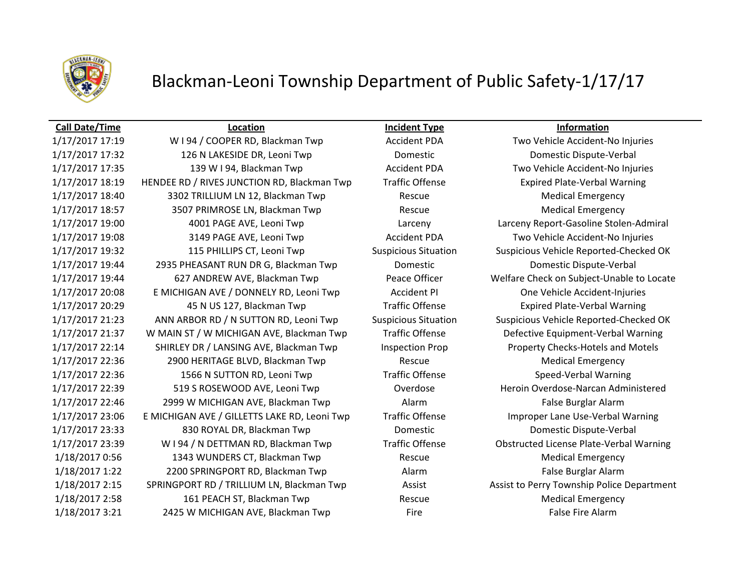

## Blackman-Leoni Township Department of Public Safety-1/17/17

### **Call Date/Time Location Incident Type Information**

1/17/2017 17:32 126 N LAKESIDE DR, Leoni Twp Domestic Domestic Dispute-Verbal 1/17/2017 17:35 139 W I 94, Blackman Twp Accident PDA Two Vehicle Accident-No Injuries 1/17/2017 18:19 HENDEE RD / RIVES JUNCTION RD, Blackman Twp Traffic Offense Expired Plate-Verbal Warning 1/17/2017 18:40 3302 TRILLIUM LN 12, Blackman Twp Rescue Medical Emergency 1/17/2017 18:57 3507 PRIMROSE LN, Blackman Twp Rescue Rescue Medical Emergency 1/17/2017 19:00 4001 PAGE AVE, Leoni Twp Larceny Larceny Report-Gasoline Stolen-Admiral 1/17/2017 19:08 3149 PAGE AVE, Leoni Twp Accident PDA Two Vehicle Accident-No Injuries 1/17/2017 19:32 115 PHILLIPS CT, Leoni Twp Suspicious Situation Suspicious Vehicle Reported-Checked OK 1/17/2017 19:44 2935 PHEASANT RUN DR G, Blackman Twp Domestic Domestic Dispute-Verbal 1/17/2017 19:44 627 ANDREW AVE, Blackman Twp Peace Officer Welfare Check on Subject-Unable to Locate 1/17/2017 20:08 E MICHIGAN AVE / DONNELY RD, Leoni Twp Accident PI One Vehicle Accident-Injuries 1/17/2017 20:29 45 N US 127, Blackman Twp Traffic Offense Expired Plate-Verbal Warning 1/17/2017 21:23 ANN ARBOR RD / N SUTTON RD, Leoni Twp Suspicious Situation Suspicious Vehicle Reported-Checked OK 1/17/2017 21:37 W MAIN ST / W MICHIGAN AVE, Blackman Twp Traffic Offense Defective Equipment-Verbal Warning 1/17/2017 22:14 SHIRLEY DR / LANSING AVE, Blackman Twp Inspection Prop Property Checks-Hotels and Motels 1/17/2017 22:36 2900 HERITAGE BLVD, Blackman Twp Rescue Rescue Medical Emergency 1/17/2017 22:36 1566 N SUTTON RD, Leoni Twp Traffic Offense Speed-Verbal Warning 1/17/2017 22:39 519 S ROSEWOOD AVE, Leoni Twp Overdose Neroin Overdose-Narcan Administered 1/17/2017 22:46 2999 W MICHIGAN AVE, Blackman Twp **Alarm Alarm False Burglar Alarm** False Burglar Alarm 1/17/2017 23:06 E MICHIGAN AVE / GILLETTS LAKE RD, Leoni Twp Traffic Offense Improper Lane Use-Verbal Warning 1/17/2017 23:33 830 ROYAL DR, Blackman Twp Domestic Domestic Dispute-Verbal 1/17/2017 23:39 W I 94 / N DETTMAN RD, Blackman Twp Traffic Offense Obstructed License Plate-Verbal Warning 1/18/2017 0:56 1343 WUNDERS CT, Blackman Twp Rescue Rescue Medical Emergency 1/18/2017 1:22 2200 SPRINGPORT RD, Blackman Twp Alarm Alarm False Burglar Alarm 1/18/2017 2:15 SPRINGPORT RD / TRILLIUM LN, Blackman Twp Assist Assist Assist to Perry Township Police Department 1/18/2017 2:58 161 PEACH ST, Blackman Twp Rescue Medical Emergency 1/18/2017 3:21 2425 W MICHIGAN AVE, Blackman Twp Fire Fire Fire False Fire Alarm

1/17/2017 17:19 W I 94 / COOPER RD, Blackman Twp Accident PDA Two Vehicle Accident-No Injuries